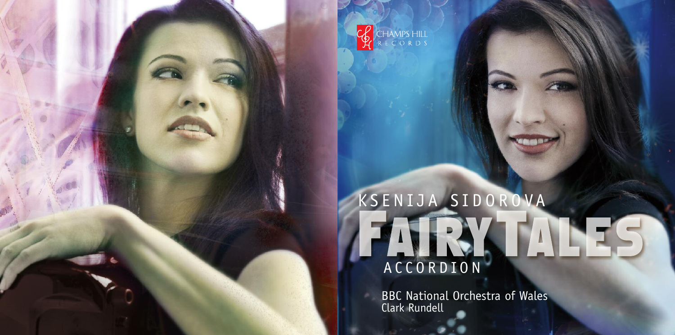

# K S E N I J A S I D O R O VA ACCORDION

BBC National Orchestra of Wales Clark Rundell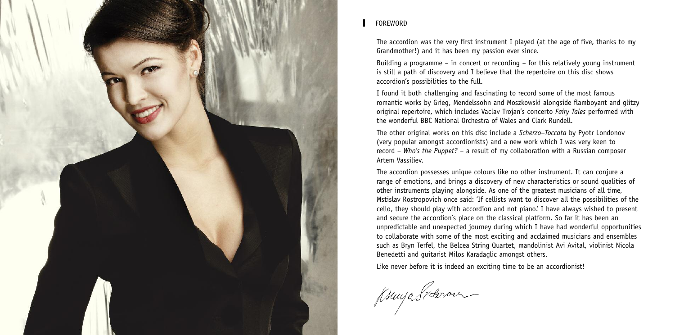

# FOREWORD

The accordion was the very first instrument I played (at the age of five, thanks to my Grandmother!) and it has been my passion ever since.

Building a programme – in concert or recording – for this relatively young instrument is still a path of discovery and I believe that the repertoire on this disc shows accordion's possibilities to the full.

I found it both challenging and fascinating to record some of the most famous romantic works by Grieg, Mendelssohn and Moszkowski alongside flamboyant and glitzy original repertoire, which includes Vaclav Trojan's concerto *Fairy Tales* performed with the wonderful BBC National Orchestra of Wales and Clark Rundell.

The other original works on this disc include a *Scherzo–Toccata* by Pyotr Londonov (very popular amongst accordionists) and a new work which I was very keen to record – *Who's the Puppet?* – a result of my collaboration with a Russian composer Artem Vassiliev.

The accordion possesses unique colours like no other instrument. It can conjure a range of emotions, and brings a discovery of new characteristics or sound qualities of other instruments playing alongside. As one of the greatest musicians of all time, Mstislav Rostropovich once said: 'If cellists want to discover all the possibilities of the cello, they should play with accordion and not piano.' I have always wished to present and secure the accordion's place on the classical platform. So far it has been an unpredictable and unexpected journey during which I have had wonderful opportunities to collaborate with some of the most exciting and acclaimed musicians and ensembles such as Bryn Terfel, the Belcea String Quartet, mandolinist Avi Avital, violinist Nicola Benedetti and guitarist Milos Karadaglic amongst others.

Like never before it is indeed an exciting time to be an accordionist!

Ksunge Sideron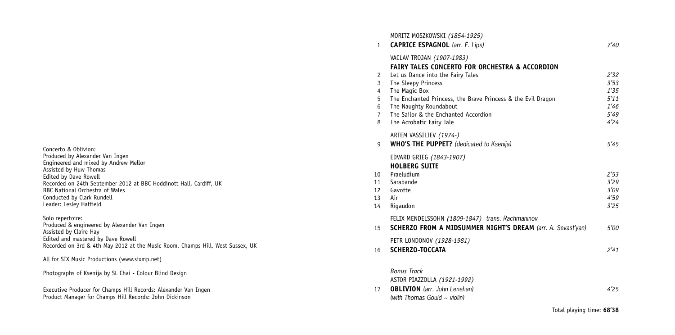Solo repertoire: Produced & engineered by Alexander Van Ingen<br>Assisted by Claire Hay Edited and mastered by Dave Rowell<br>Recorded on 3rd & 4th May 2012 at the Music Room, Champs Hill, West Sussex, UK

All for SIX Music Productions (www.sixmp.net)

| Photographs of Ksenija by SL Chai - Colour Blind Design |  |  |  |  |
|---------------------------------------------------------|--|--|--|--|
|                                                         |  |  |  |  |

Executive Producer for Champs Hill Records: Alexander Van Ingen<br>Product Manager for Champs Hill Records: John Dickinson

| $\mathbf{1}$   | MORITZ MOSZKOWSKI (1854-1925)<br><b>CAPRICE ESPAGNOL</b> (arr. F. Lips) | 7'40 |
|----------------|-------------------------------------------------------------------------|------|
|                | VACLAV TROJAN (1907-1983)                                               |      |
|                | <b>FAIRY TALES CONCERTO FOR ORCHESTRA &amp; ACCORDION</b>               |      |
| 2              | Let us Dance into the Fairy Tales                                       | 2'32 |
| 3              | The Sleepy Princess                                                     | 3'53 |
| $\overline{4}$ | The Magic Box                                                           | 1'35 |
| 5              | The Enchanted Princess, the Brave Princess & the Evil Dragon            | 5'11 |
| 6              | The Naughty Roundabout                                                  | 1'46 |
| $\overline{7}$ | The Sailor & the Enchanted Accordion                                    | 5'49 |
| 8              | The Acrobatic Fairy Tale                                                | 4'24 |
|                | ARTEM VASSILIEV (1974-)                                                 |      |
| 9              | <b>WHO'S THE PUPPET?</b> (dedicated to Ksenija)                         | 5'45 |
|                | EDVARD GRIEG (1843-1907)                                                |      |
|                | <b>HOLBERG SUITE</b>                                                    |      |
| 10             | Praeludium                                                              | 2'53 |
| 11             | Sarabande                                                               | 3'29 |
| 12             | Gavotte                                                                 | 3'09 |
| 13             | Air                                                                     | 4'59 |
| 14             | Rigaudon                                                                | 3'25 |
|                | FELIX MENDELSSOHN (1809-1847) trans. Rachmaninov                        |      |
| 15             | SCHERZO FROM A MIDSUMMER NIGHT'S DREAM (arr. A. Sevast'yan)             | 5'00 |
|                | PETR LONDONOV (1928-1981)                                               |      |
| 16             | SCHERZO-TOCCATA                                                         | 2'41 |
|                |                                                                         |      |
|                | <b>Bonus Track</b>                                                      |      |
|                | ASTOR PIAZZOLLA (1921-1992)                                             |      |
| 17             | <b>OBLIVION</b> (arr. John Lenehan)                                     | 4'25 |
|                | (with Thomas Gould $\sim$ violin)                                       |      |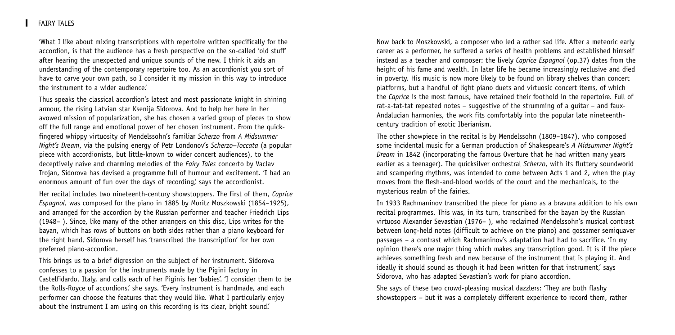### **FATRY TALES**

'What I like about mixing transcriptions with repertoire written specifically for the accordion, is that the audience has a fresh perspective on the so-called 'old stuff' after hearing the unexpected and unique sounds of the new. I think it aids an understanding of the contemporary repertoire too. As an accordionist you sort of have to carve your own path, so I consider it my mission in this way to introduce the instrument to a wider audience'

Thus speaks the classical accordion's latest and most passionate knight in shining armour, the rising Latvian star Ksenija Sidorova. And to help her here in her avowed mission of popularization, she has chosen a varied group of pieces to show off the full range and emotional power of her chosen instrument. From the quickfingered whippy virtuosity of Mendelssohn's familiar *Scherzo* from *A Midsummer Night's Dream*, via the pulsing energy of Petr Londonov's *Scherzo–Toccata* (a popular piece with accordionists, but little-known to wider concert audiences), to the deceptively naive and charming melodies of the *Fairy Tales* concerto by Vaclav Trojan, Sidorova has devised a programme full of humour and excitement. 'I had an enormous amount of fun over the days of recording, says the accordionist.

Her recital includes two nineteenth-century showstoppers. The first of them, *Caprice Espagnol,* was composed for the piano in 1885 by Moritz Moszkowski (1854–1925), and arranged for the accordion by the Russian performer and teacher Friedrich Lips (1948– ). Since, like many of the other arrangers on this disc, Lips writes for the bayan, which has rows of buttons on both sides rather than a piano keyboard for the right hand, Sidorova herself has 'transcribed the transcription' for her own preferred piano-accordion.

This brings us to a brief digression on the subject of her instrument. Sidorova confesses to a passion for the instruments made by the Pigini factory in Castelfidardo, Italy, and calls each of her Piginis her 'babies'. 'I consider them to be the Rolls-Royce of accordions,' she says. 'Every instrument is handmade, and each performer can choose the features that they would like. What I particularly enjoy about the instrument I am using on this recording is its clear, bright sound.'

Now back to Moszkowski, a composer who led a rather sad life. After a meteoric early career as a performer, he suffered a series of health problems and established himself instead as a teacher and composer: the lively *Caprice Espagnol* (op.37) dates from the height of his fame and wealth. In later life he became increasingly reclusive and died in poverty. His music is now more likely to be found on library shelves than concert platforms, but a handful of light piano duets and virtuosic concert items, of which the *Caprice* is the most famous, have retained their foothold in the repertoire. Full of rat-a-tat-tat repeated notes – suggestive of the strumming of a guitar – and faux-Andalucian harmonies, the work fits comfortably into the popular late nineteenthcentury tradition of exotic Iberianism.

The other showpiece in the recital is by Mendelssohn (1809–1847), who composed some incidental music for a German production of Shakespeare's *A Midsummer Night's Dream* in 1842 (incorporating the famous Overture that he had written many years earlier as a teenager). The quicksilver orchestral *Scherzo*, with its fluttery soundworld and scampering rhythms, was intended to come between Acts 1 and 2, when the play moves from the flesh-and-blood worlds of the court and the mechanicals, to the mysterious realm of the fairies.

In 1933 Rachmaninov transcribed the piece for piano as a bravura addition to his own recital programmes. This was, in its turn, transcribed for the bayan by the Russian virtuoso Alexander Sevastian (1976– ), who reclaimed Mendelssohn's musical contrast between long-held notes (difficult to achieve on the piano) and gossamer semiquaver passages – a contrast which Rachmaninov's adaptation had had to sacrifice. 'In my opinion there's one major thing which makes any transcription good. It is if the piece achieves something fresh and new because of the instrument that is playing it. And ideally it should sound as though it had been written for that instrument, says Sidorova, who has adapted Sevastian's work for piano accordion.

She says of these two crowd-pleasing musical dazzlers: 'They are both flashy showstoppers – but it was a completely different experience to record them, rather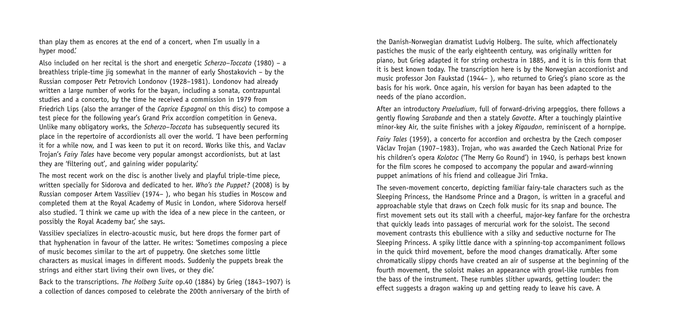than play them as encores at the end of a concert, when I'm usually in a hyper mood.'

Also included on her recital is the short and energetic *Scherzo–Toccata* (1980) – a breathless triple-time jig somewhat in the manner of early Shostakovich – by the Russian composer Petr Petrovich Londonov (1928–1981). Londonov had already written a large number of works for the bayan, including a sonata, contrapuntal studies and a concerto, by the time he received a commission in 1979 from Friedrich Lips (also the arranger of the *Caprice Espagnol* on this disc) to compose a test piece for the following year's Grand Prix accordion competition in Geneva. Unlike many obligatory works, the *Scherzo–Toccata* has subsequently secured its place in the repertoire of accordionists all over the world. 'I have been performing it for a while now, and I was keen to put it on record. Works like this, and Vaclav Trojan's *Fairy Tales* have become very popular amongst accordionists, but at last they are 'filtering out', and gaining wider popularity.'

The most recent work on the disc is another lively and playful triple-time piece, written specially for Sidorova and dedicated to her. *Who's the Puppet?* (2008) is by Russian composer Artem Vassiliev (1974– ), who began his studies in Moscow and completed them at the Royal Academy of Music in London, where Sidorova herself also studied. 'I think we came up with the idea of a new piece in the canteen, or possibly the Royal Academy bar,' she says.

Vassiliev specializes in electro-acoustic music, but here drops the former part of that hyphenation in favour of the latter. He writes: 'Sometimes composing a piece of music becomes similar to the art of puppetry. One sketches some little characters as musical images in different moods. Suddenly the puppets break the strings and either start living their own lives, or they die.'

Back to the transcriptions. *The Holberg Suite* op.40 (1884) by Grieg (1843–1907) is a collection of dances composed to celebrate the 200th anniversary of the birth of

the Danish-Norwegian dramatist Ludvig Holberg. The suite, which affectionately pastiches the music of the early eighteenth century, was originally written for piano, but Grieg adapted it for string orchestra in 1885, and it is in this form that it is best known today. The transcription here is by the Norwegian accordionist and music professor Jon Faukstad (1944– ), who returned to Grieg's piano score as the basis for his work. Once again, his version for bayan has been adapted to the needs of the piano accordion.

After an introductory *Praeludium*, full of forward-driving arpeggios, there follows a gently flowing *Sarabande* and then a stately *Gavotte*. After a touchingly plaintive minor-key Air, the suite finishes with a jokey *Rigaudon*, reminiscent of a hornpipe.

*Fairy Tales* (1959), a concerto for accordion and orchestra by the Czech composer Václav Trojan (1907–1983). Trojan, who was awarded the Czech National Prize for his children's opera *Kolotoc* ('The Merry Go Round') in 1940, is perhaps best known for the film scores he composed to accompany the popular and award-winning puppet animations of his friend and colleague Jirí Trnka.

The seven-movement concerto, depicting familiar fairy-tale characters such as the Sleeping Princess, the Handsome Prince and a Dragon, is written in a graceful and approachable style that draws on Czech folk music for its snap and bounce. The first movement sets out its stall with a cheerful, major-key fanfare for the orchestra that quickly leads into passages of mercurial work for the soloist. The second movement contrasts this ebullience with a silky and seductive nocturne for The Sleeping Princess. A spiky little dance with a spinning-top accompaniment follows in the quick third movement, before the mood changes dramatically. After some chromatically slippy chords have created an air of suspense at the beginning of the fourth movement, the soloist makes an appearance with growl-like rumbles from the bass of the instrument. These rumbles slither upwards, getting louder: the effect suggests a dragon waking up and getting ready to leave his cave. A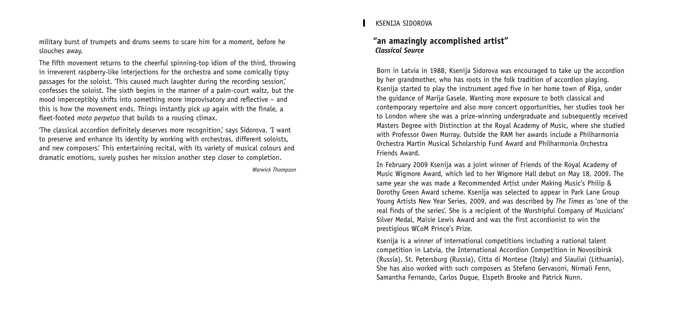military burst of trumpets and drums seems to scare him for a moment, before he slouches away.

The fifth movement returns to the cheerful spinning-top idiom of the third, throwing in irreverent raspberry-like interjections for the orchestra and some comically tipsy passages for the soloist. 'This caused much laughter during the recording session,' confesses the soloist. The sixth begins in the manner of a palm-court waltz, but the mood imperceptibly shifts into something more improvisatory and reflective – and this is how the movement ends. Things instantly pick up again with the finale, a fleet-footed *moto perpetuo* that builds to a rousing climax.

'The classical accordion definitely deserves more recognition,' says Sidorova. 'I want to preserve and enhance its identity by working with orchestras, different soloists, and new composers.' This entertaining recital, with its variety of musical colours and dramatic emotions, surely pushes her mission another step closer to completion.

*Warwick Thompson*

### KSENIJA SIDOROVA

## **"an amazingly accomplished artist"** *Classical Source*

Born in Latvia in 1988, Ksenija Sidorova was encouraged to take up the accordion by her grandmother, who has roots in the folk tradition of accordion playing. Ksenija started to play the instrument aged five in her home town of Riga, under the guidance of Marija Gasele. Wanting more exposure to both classical and contemporary repertoire and also more concert opportunities, her studies took her to London where she was a prize-winning undergraduate and subsequently received Masters Degree with Distinction at the Royal Academy of Music, where she studied with Professor Owen Murray. Outside the RAM her awards include a Philharmonia Orchestra Martin Musical Scholarship Fund Award and Philharmonia Orchestra Friends Award.

In February 2009 Ksenija was a joint winner of Friends of the Royal Academy of Music Wigmore Award, which led to her Wigmore Hall debut on May 18, 2009. The same year she was made a Recommended Artist under Making Music's Philip & Dorothy Green Award scheme. Ksenija was selected to appear in Park Lane Group Young Artists New Year Series, 2009, and was described by *The Times* as 'one of the real finds of the series'. She is a recipient of the Worshipful Company of Musicians' Silver Medal, Maisie Lewis Award and was the first accordionist to win the prestigious WCoM Prince's Prize.

Ksenija is a winner of international competitions including a national talent competition in Latvia, the International Accordion Competition in Novosibirsk (Russia), St. Petersburg (Russia), Citta di Montese (Italy) and Siauliai (Lithuania). She has also worked with such composers as Stefano Gervasoni, Nirmali Fenn, Samantha Fernando, Carlos Duque, Elspeth Brooke and Patrick Nunn.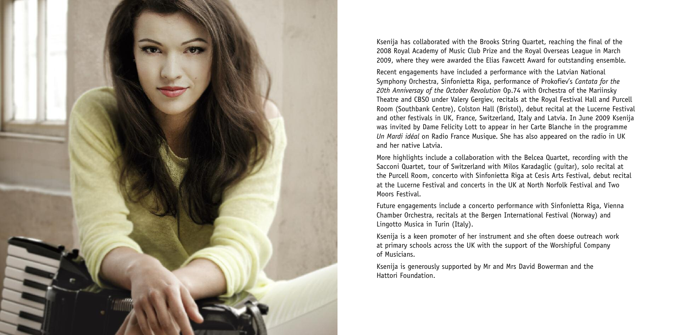

Ksenija has collaborated with the Brooks String Quartet, reaching the final of the 2008 Royal Academy of Music Club Prize and the Royal Overseas League in March 2009, where they were awarded the Elias Fawcett Award for outstanding ensemble.

Recent engagements have included a performance with the Latvian National Symphony Orchestra, Sinfonietta Riga, performance of Prokofiev's *Cantata for the 20th Anniversay of the October Revolution* Op.74 with Orchestra of the Mariinsky Theatre and CBSO under Valery Gergiev, recitals at the Royal Festival Hall and Purcell Room (Southbank Centre), Colston Hall (Bristol), debut recital at the Lucerne Festival and other festivals in UK, France, Switzerland, Italy and Latvia. In June 2009 Ksenija was invited by Dame Felicity Lott to appear in her Carte Blanche in the programme *Un Mardi idéal* on Radio France Musique. She has also appeared on the radio in UK and her native Latvia.

More highlights include a collaboration with the Belcea Quartet, recording with the Sacconi Quartet, tour of Switzerland with Milos Karadaglic (guitar), solo recital at the Purcell Room, concerto with Sinfonietta Riga at Cesis Arts Festival, debut recital at the Lucerne Festival and concerts in the UK at North Norfolk Festival and Two Moors Festival.

Future engagements include a concerto performance with Sinfonietta Riga, Vienna Chamber Orchestra, recitals at the Bergen International Festival (Norway) and Lingotto Musica in Turin (Italy).

Ksenija is a keen promoter of her instrument and she often doese outreach work at primary schools across the UK with the support of the Worshipful Company of Musicians.

Ksenija is generously supported by Mr and Mrs David Bowerman and the Hattori Foundation.